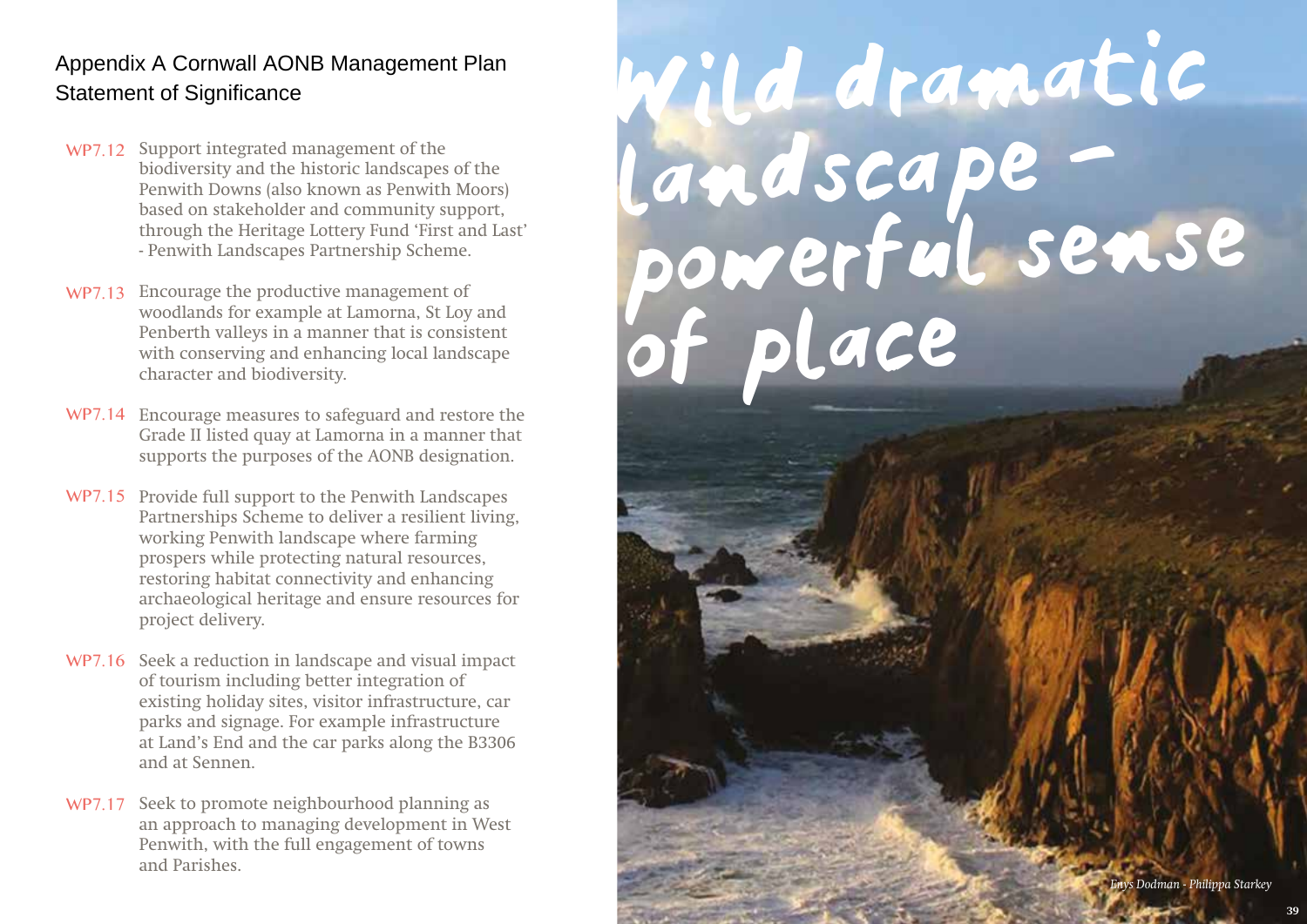## Appendix A Cornwall AONB Management Plan Statement of Significance

- WP7.12 Support integrated management of the biodiversity and the historic landscapes of the Penwith Downs (also known as Penwith Moors) based on stakeholder and community support, through the Heritage Lottery Fund 'First and Last' - Penwith Landscapes Partnership Scheme.
- WP7.13 Encourage the productive management of woodlands for example at Lamorna, St Loy and Penberth valleys in a manner that is consistent with conserving and enhancing local landscape character and biodiversity.
- WP7.14 Encourage measures to safeguard and restore the Grade II listed quay at Lamorna in a manner that supports the purposes of the AONB designation.
- WP7.15 Provide full support to the Penwith Landscapes Partnerships Scheme to deliver a resilient living, working Penwith landscape where farming prospers while protecting natural resources, restoring habitat connectivity and enhancing archaeological heritage and ensure resources for project delivery.
- WP7.16 Seek a reduction in landscape and visual impact of tourism including better integration of existing holiday sites, visitor infrastructure, car parks and signage. For example infrastructure at Land's End and the car parks along the B3306 and at Sennen.
- WP7.17 Seek to promote neighbourhood planning as an approach to managing development in West Penwith, with the full engagement of towns and Parishes.

# **39** *Enys Dodman - Philippa Starkey* Wild dramatic landscape powerful sense of place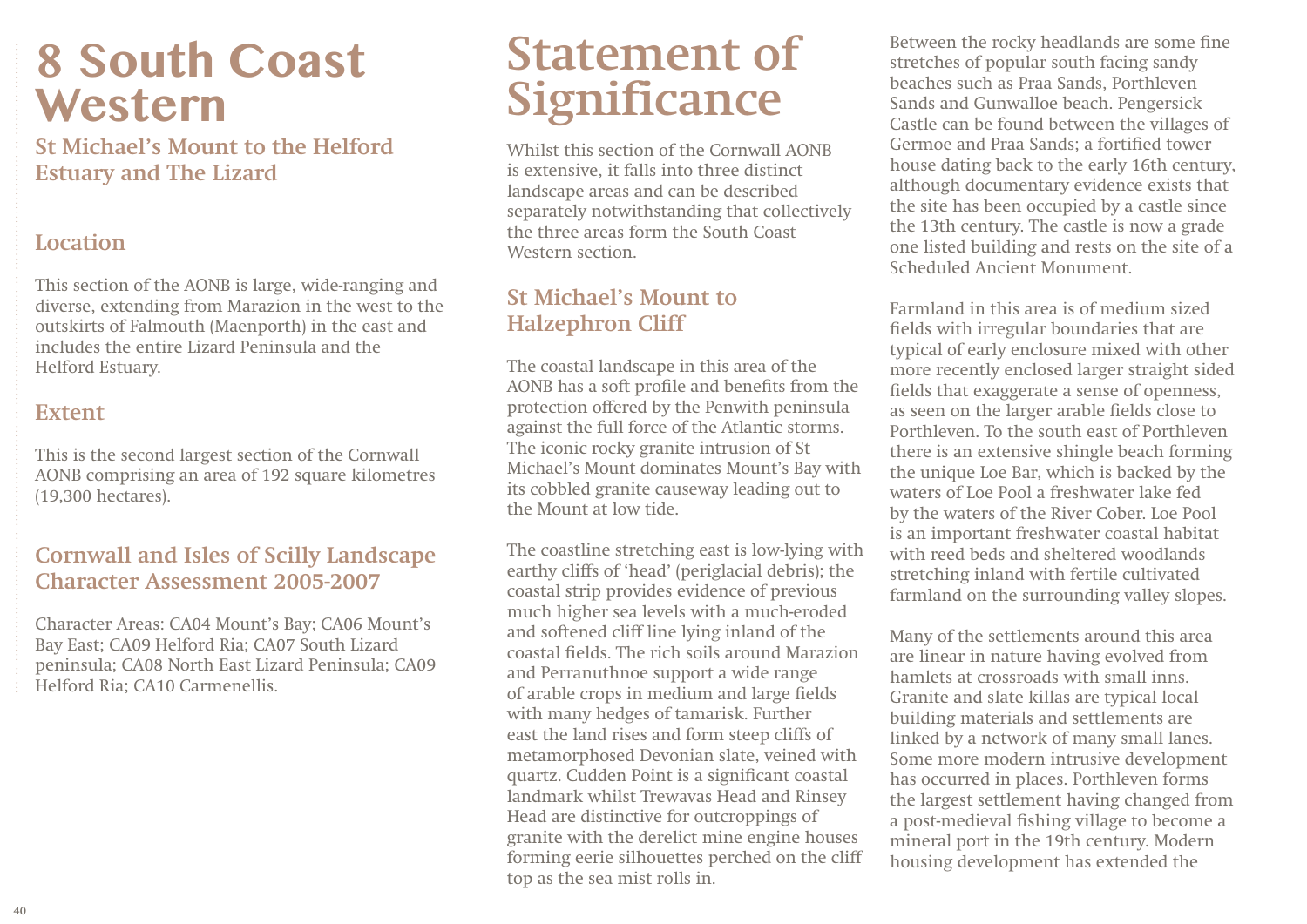# **8 South Coast Western**

**St Michael's Mount to the Helford Estuary and The Lizard**

## **Location**

This section of the AONB is large, wide-ranging and diverse, extending from Marazion in the west to the outskirts of Falmouth (Maenporth) in the east and includes the entire Lizard Peninsula and the Helford Estuary.

#### **Extent**

This is the second largest section of the Cornwall AONB comprising an area of 192 square kilometres (19,300 hectares).

## **Cornwall and Isles of Scilly Landscape Character Assessment 2005-2007**

Character Areas: CA04 Mount's Bay; CA06 Mount's Bay East; CA09 Helford Ria; CA07 South Lizard peninsula; CA08 North East Lizard Peninsula; CA09 Helford Ria; CA10 Carmenellis.

# **Statement of Significance**

Whilst this section of the Cornwall AONB is extensive, it falls into three distinct landscape areas and can be described separately notwithstanding that collectively the three areas form the South Coast Western section.

# **St Michael's Mount to Halzephron Cliff**

The coastal landscape in this area of the AONB has a soft profile and benefits from the protection offered by the Penwith peninsula against the full force of the Atlantic storms. The iconic rocky granite intrusion of St Michael's Mount dominates Mount's Bay with its cobbled granite causeway leading out to the Mount at low tide.

The coastline stretching east is low-lying with earthy cliffs of 'head' (periglacial debris); the coastal strip provides evidence of previous much higher sea levels with a much-eroded and softened cliff line lying inland of the coastal fields. The rich soils around Marazion and Perranuthnoe support a wide range of arable crops in medium and large fields with many hedges of tamarisk. Further east the land rises and form steep cliffs of metamorphosed Devonian slate, veined with quartz. Cudden Point is a significant coastal landmark whilst Trewavas Head and Rinsey Head are distinctive for outcroppings of granite with the derelict mine engine houses forming eerie silhouettes perched on the cliff top as the sea mist rolls in.

Between the rocky headlands are some fine stretches of popular south facing sandy beaches such as Praa Sands, Porthleven Sands and Gunwalloe beach. Pengersick Castle can be found between the villages of Germoe and Praa Sands; a fortified tower house dating back to the early 16th century, although documentary evidence exists that the site has been occupied by a castle since the 13th century. The castle is now a grade one listed building and rests on the site of a Scheduled Ancient Monument.

Farmland in this area is of medium sized fields with irregular boundaries that are typical of early enclosure mixed with other more recently enclosed larger straight sided fields that exaggerate a sense of openness, as seen on the larger arable fields close to Porthleven. To the south east of Porthleven there is an extensive shingle beach forming the unique Loe Bar, which is backed by the waters of Loe Pool a freshwater lake fed by the waters of the River Cober. Loe Pool is an important freshwater coastal habitat with reed beds and sheltered woodlands stretching inland with fertile cultivated farmland on the surrounding valley slopes.

Many of the settlements around this area are linear in nature having evolved from hamlets at crossroads with small inns. Granite and slate killas are typical local building materials and settlements are linked by a network of many small lanes. Some more modern intrusive development has occurred in places. Porthleven forms the largest settlement having changed from a post-medieval fishing village to become a mineral port in the 19th century. Modern housing development has extended the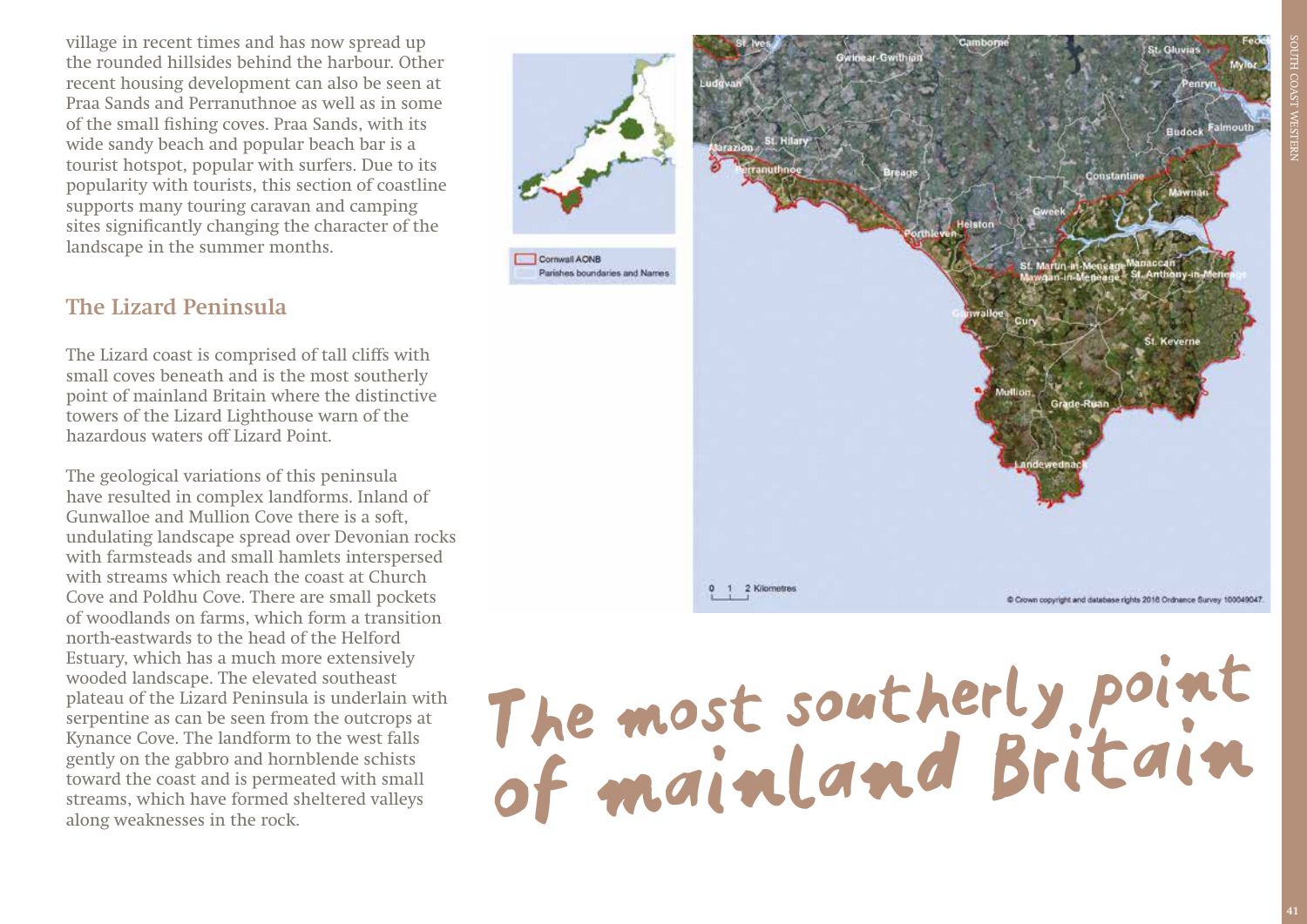village in recent times and has now spread up the rounded hillsides behind the harbour. Other recent housing development can also be seen at Praa Sands and Perranuthnoe as well as in some of the small fishing coves. Praa Sands, with its wide sandy beach and popular beach bar is a tourist hotspot, popular with surfers. Due to its popularity with tourists, this section of coastline supports many touring caravan and camping sites significantly changing the character of the landscape in the summer months.

#### **The Lizard Peninsula**

The Lizard coast is comprised of tall cliffs with small coves beneath and is the most southerly point of mainland Britain where the distinctive towers of the Lizard Lighthouse warn of the hazardous waters off Lizard Point.

The geological variations of this peninsula have resulted in complex landforms. Inland of Gunwalloe and Mullion Cove there is a soft, undulating landscape spread over Devonian rocks with farmsteads and small hamlets interspersed with streams which reach the coast at Church Cove and Poldhu Cove. There are small pockets of woodlands on farms, which form a transition north-eastwards to the head of the Helford Estuary, which has a much more extensively wooded landscape. The elevated southeast plateau of the Lizard Peninsula is underlain with serpentine as can be seen from the outcrops at Kynance Cove. The landform to the west falls gently on the gabbro and hornblende schists toward the coast and is permeated with small streams, which have formed sheltered valleys along weaknesses in the rock.



The most southerly point of mainland Britain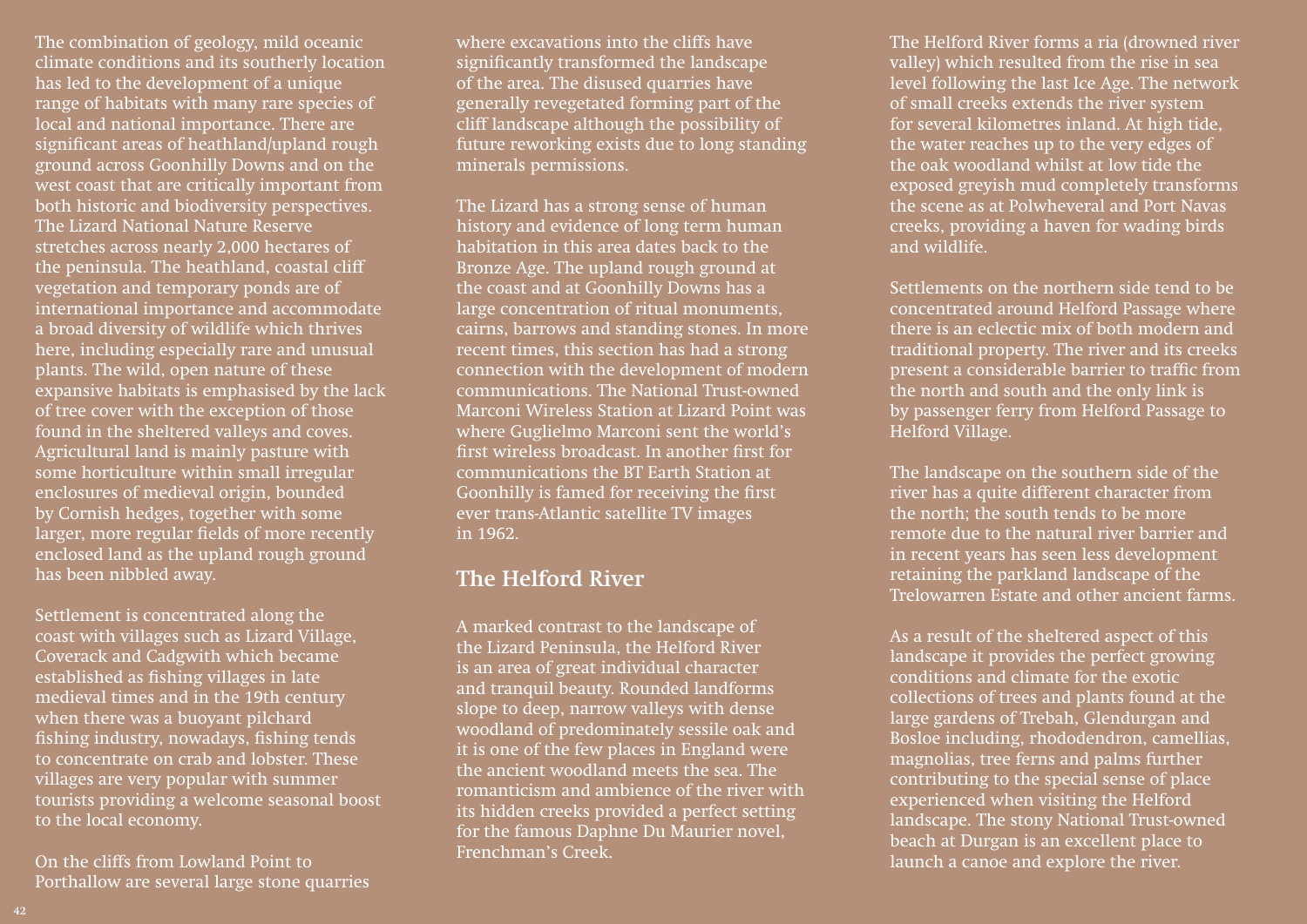The combination of geology, mild oceanic climate conditions and its southerly location has led to the development of a unique range of habitats with many rare species of local and national importance. There are significant areas of heathland/upland rough ground across Goonhilly Downs and on the west coast that are critically important from both historic and biodiversity perspectives. The Lizard National Nature Reserve stretches across nearly 2,000 hectares of the peninsula. The heathland, coastal cliff vegetation and temporary ponds are of international importance and accommodate a broad diversity of wildlife which thrives here, including especially rare and unusual plants. The wild, open nature of these expansive habitats is emphasised by the lack of tree cover with the exception of those found in the sheltered valleys and coves. Agricultural land is mainly pasture with some horticulture within small irregular enclosures of medieval origin, bounded by Cornish hedges, together with some larger, more regular fields of more recently enclosed land as the upland rough ground has been nibbled away.

Settlement is concentrated along the coast with villages such as Lizard Village, Coverack and Cadgwith which became established as fishing villages in late medieval times and in the 19th century when there was a buoyant pilchard fishing industry, nowadays, fishing tends to concentrate on crab and lobster. These villages are very popular with summer tourists providing a welcome seasonal boost to the local economy.

On the cliffs from Lowland Point to Porthallow are several large stone quarries

where excavations into the cliffs have significantly transformed the landscape of the area. The disused quarries have generally revegetated forming part of the cliff landscape although the possibility of future reworking exists due to long standing minerals permissions.

The Lizard has a strong sense of human history and evidence of long term human habitation in this area dates back to the Bronze Age. The upland rough ground at the coast and at Goonhilly Downs has a large concentration of ritual monuments, cairns, barrows and standing stones. In more recent times, this section has had a strong connection with the development of modern communications. The National Trust-owned Marconi Wireless Station at Lizard Point was where Guglielmo Marconi sent the world's first wireless broadcast. In another first for communications the BT Earth Station at Goonhilly is famed for receiving the first ever trans-Atlantic satellite TV images in 1962.

#### **The Helford River**

A marked contrast to the landscape of the Lizard Peninsula, the Helford River is an area of great individual character and tranquil beauty. Rounded landforms slope to deep, narrow valleys with dense woodland of predominately sessile oak and it is one of the few places in England were the ancient woodland meets the sea. The romanticism and ambience of the river with its hidden creeks provided a perfect setting for the famous Daphne Du Maurier novel, Frenchman's Creek.

The Helford River forms a ria (drowned river valley) which resulted from the rise in sea level following the last Ice Age. The network of small creeks extends the river system for several kilometres inland. At high tide, the water reaches up to the very edges of the oak woodland whilst at low tide the exposed greyish mud completely transforms the scene as at Polwheveral and Port Navas creeks, providing a haven for wading birds and wildlife.

Settlements on the northern side tend to be concentrated around Helford Passage where there is an eclectic mix of both modern and traditional property. The river and its creeks present a considerable barrier to traffic from the north and south and the only link is by passenger ferry from Helford Passage to Helford Village.

The landscape on the southern side of the river has a quite different character from the north; the south tends to be more remote due to the natural river barrier and in recent years has seen less development retaining the parkland landscape of the Trelowarren Estate and other ancient farms.

As a result of the sheltered aspect of this landscape it provides the perfect growing conditions and climate for the exotic collections of trees and plants found at the large gardens of Trebah, Glendurgan and Bosloe including, rhododendron, camellias, magnolias, tree ferns and palms further contributing to the special sense of place experienced when visiting the Helford landscape. The stony National Trust-owned beach at Durgan is an excellent place to launch a canoe and explore the river.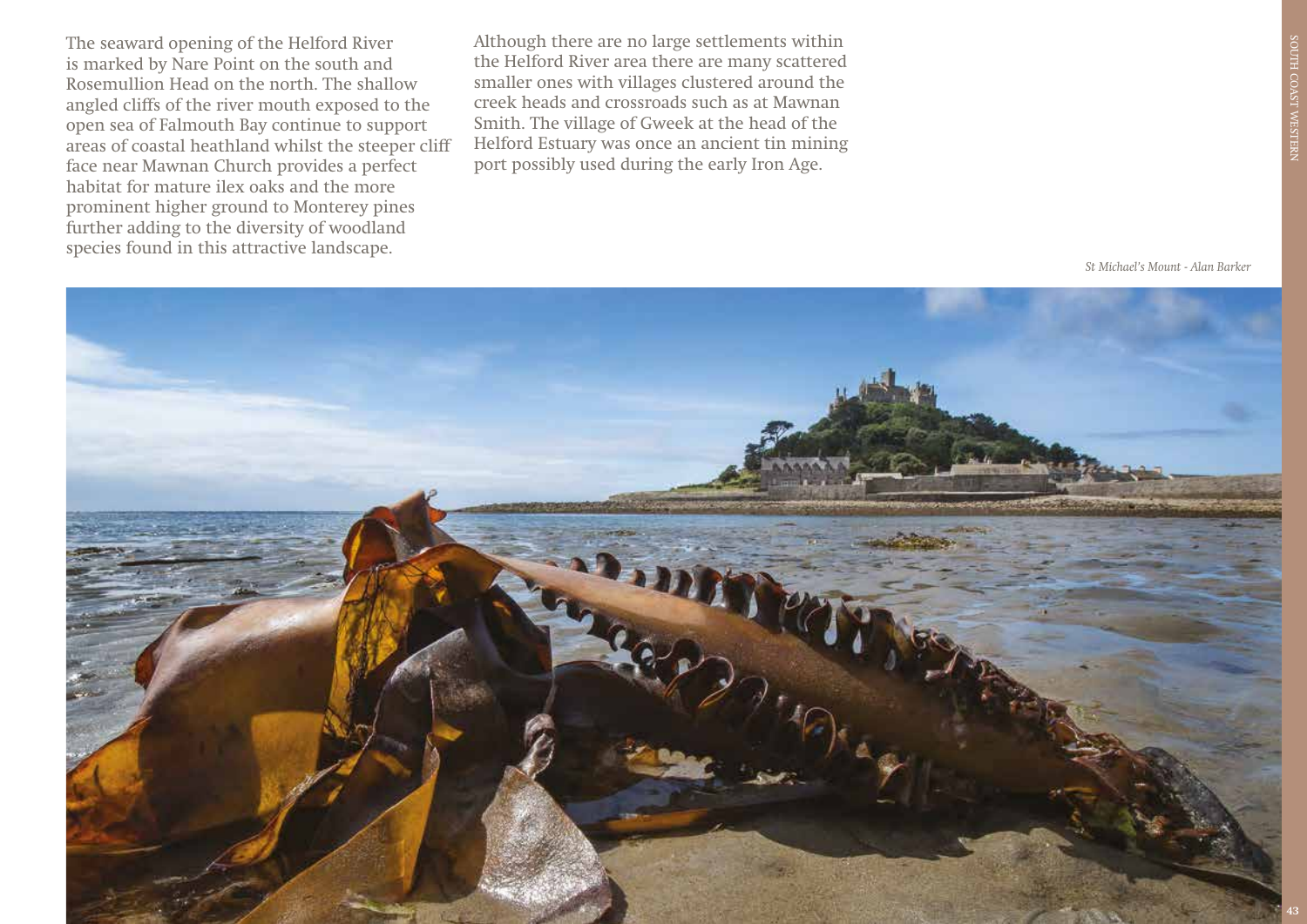The seaward opening of the Helford River is marked by Nare Point on the south and Rosemullion Head on the north. The shallow angled cliffs of the river mouth exposed to the open sea of Falmouth Bay continue to support areas of coastal heathland whilst the steeper cliff face near Mawnan Church provides a perfect habitat for mature ilex oaks and the more prominent higher ground to Monterey pines further adding to the diversity of woodland species found in this attractive landscape.

Although there are no large settlements within the Helford River area there are many scattered smaller ones with villages clustered around the creek heads and crossroads such as at Mawnan Smith. The village of Gweek at the head of the Helford Estuary was once an ancient tin mining port possibly used during the early Iron Age.

*St Michael's Mount - Alan Barker*

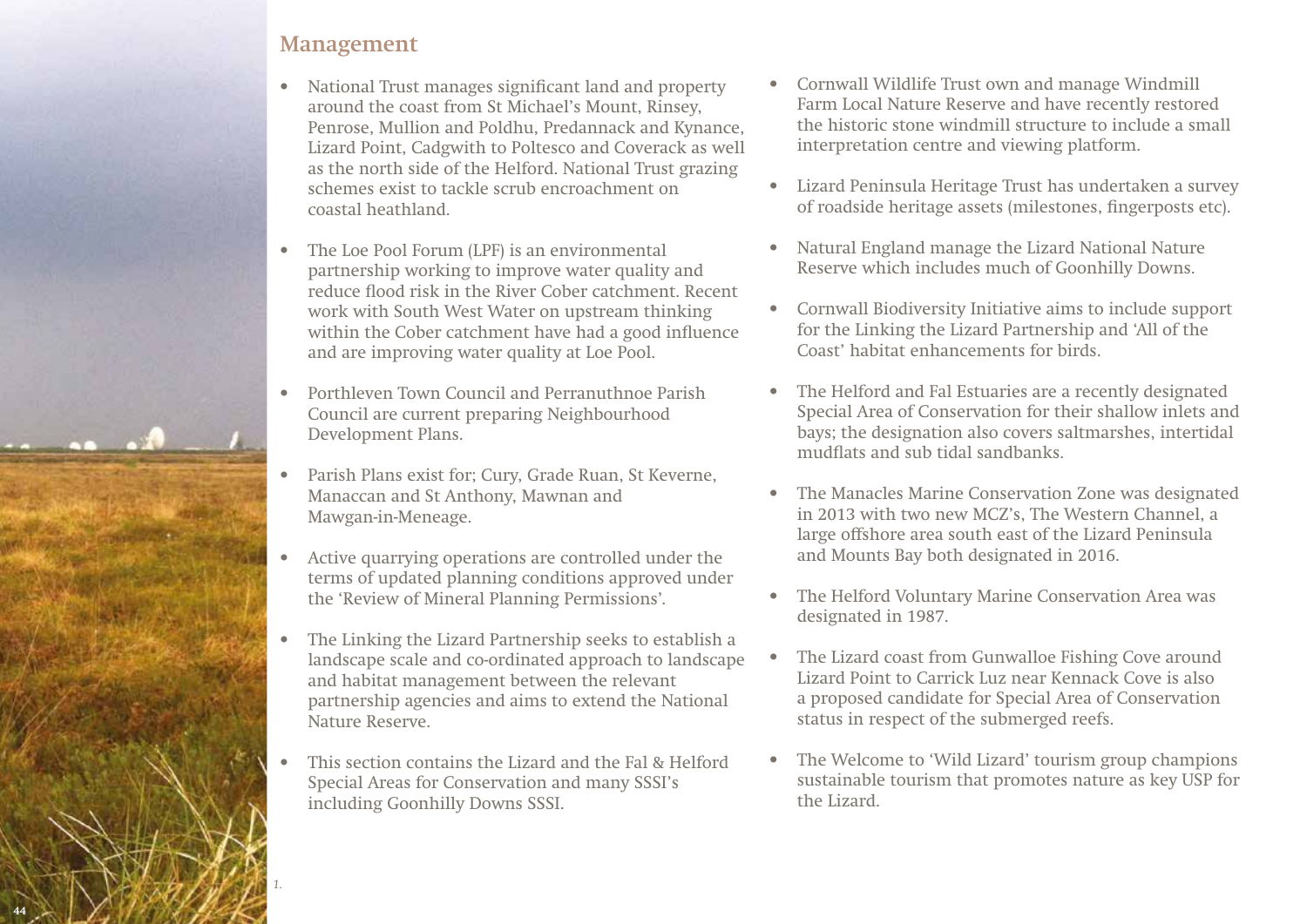#### **Management**

- National Trust manages significant land and property around the coast from St Michael's Mount, Rinsey, Penrose, Mullion and Poldhu, Predannack and Kynance, Lizard Point, Cadgwith to Poltesco and Coverack as well as the north side of the Helford. National Trust grazing schemes exist to tackle scrub encroachment on coastal heathland.
- The Loe Pool Forum (LPF) is an environmental partnership working to improve water quality and reduce flood risk in the River Cober catchment. Recent work with South West Water on upstream thinking within the Cober catchment have had a good influence and are improving water quality at Loe Pool.
- Porthleven Town Council and Perranuthnoe Parish Council are current preparing Neighbourhood Development Plans.
- Parish Plans exist for; Cury, Grade Ruan, St Keverne, Manaccan and St Anthony, Mawnan and Mawgan-in-Meneage.
- Active quarrying operations are controlled under the terms of updated planning conditions approved under the 'Review of Mineral Planning Permissions'.
- The Linking the Lizard Partnership seeks to establish a landscape scale and co-ordinated approach to landscape and habitat management between the relevant partnership agencies and aims to extend the National Nature Reserve.
- This section contains the Lizard and the Fal & Helford Special Areas for Conservation and many SSSI's including Goonhilly Downs SSSI.
- Cornwall Wildlife Trust own and manage Windmill Farm Local Nature Reserve and have recently restored the historic stone windmill structure to include a small interpretation centre and viewing platform.
- Lizard Peninsula Heritage Trust has undertaken a survey of roadside heritage assets (milestones, fingerposts etc).
- Natural England manage the Lizard National Nature Reserve which includes much of Goonhilly Downs.
- Cornwall Biodiversity Initiative aims to include support for the Linking the Lizard Partnership and 'All of the Coast' habitat enhancements for birds.
- The Helford and Fal Estuaries are a recently designated Special Area of Conservation for their shallow inlets and bays; the designation also covers saltmarshes, intertidal mudflats and sub tidal sandbanks.
- The Manacles Marine Conservation Zone was designated in 2013 with two new MCZ's, The Western Channel, a large offshore area south east of the Lizard Peninsula and Mounts Bay both designated in 2016.
- The Helford Voluntary Marine Conservation Area was designated in 1987.
- The Lizard coast from Gunwalloe Fishing Cove around Lizard Point to Carrick Luz near Kennack Cove is also a proposed candidate for Special Area of Conservation status in respect of the submerged reefs.
- The Welcome to 'Wild Lizard' tourism group champions sustainable tourism that promotes nature as key USP for the Lizard.

*1.* 

**44**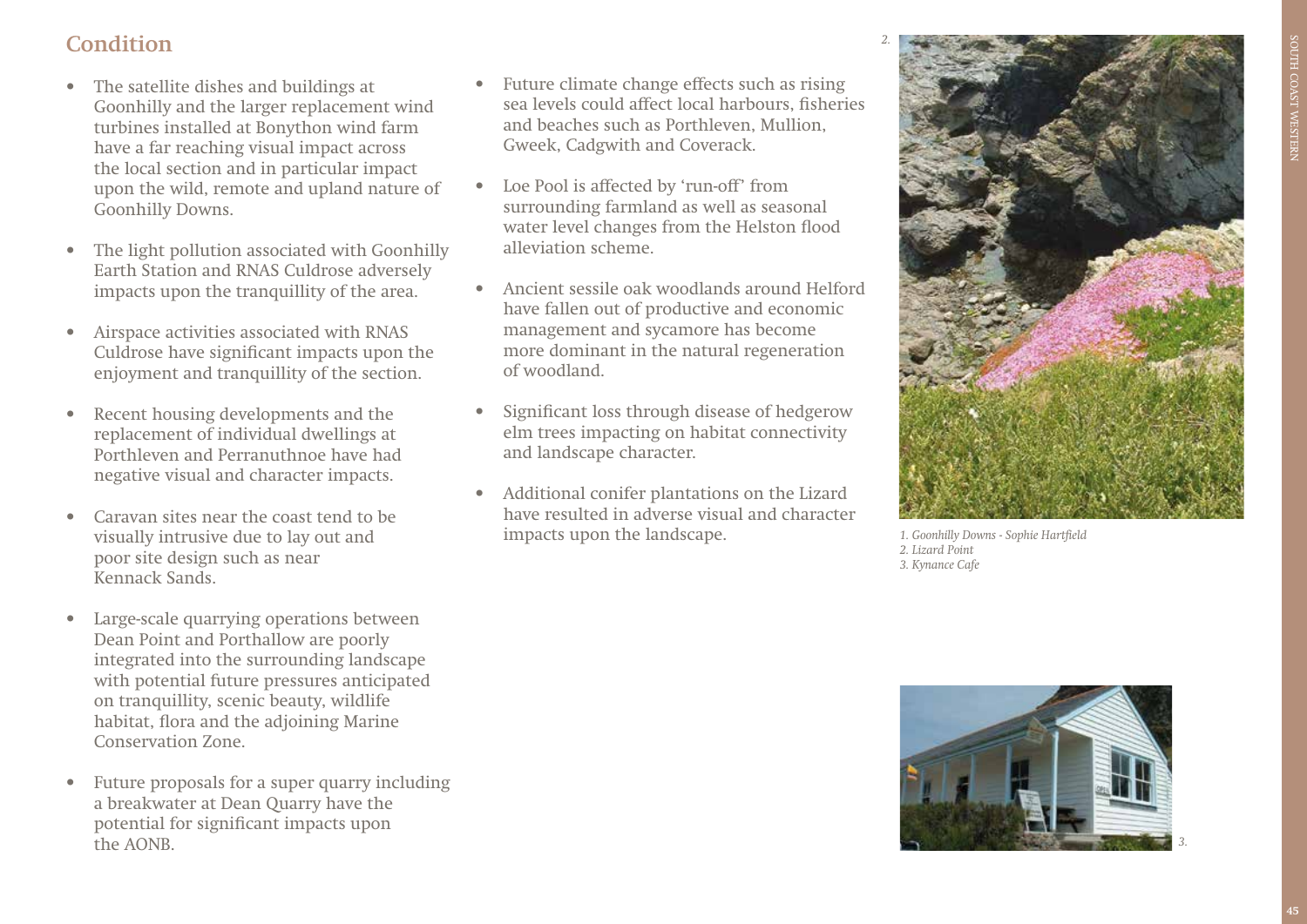## **Condition**

- The satellite dishes and buildings at Goonhilly and the larger replacement wind turbines installed at Bonython wind farm have a far reaching visual impact across the local section and in particular impact upon the wild, remote and upland nature of Goonhilly Downs.
- The light pollution associated with Goonhilly Earth Station and RNAS Culdrose adversely impacts upon the tranquillity of the area.
- Airspace activities associated with RNAS Culdrose have significant impacts upon the enjoyment and tranquillity of the section.
- Recent housing developments and the replacement of individual dwellings at Porthleven and Perranuthnoe have had negative visual and character impacts.
- Caravan sites near the coast tend to be visually intrusive due to lay out and poor site design such as near Kennack Sands.
- Large-scale quarrying operations between Dean Point and Porthallow are poorly integrated into the surrounding landscape with potential future pressures anticipated on tranquillity, scenic beauty, wildlife habitat, flora and the adjoining Marine Conservation Zone.
- Future proposals for a super quarry including a breakwater at Dean Quarry have the potential for significant impacts upon the AONB.
- Future climate change effects such as rising sea levels could affect local harbours, fisheries and beaches such as Porthleven, Mullion, Gweek, Cadgwith and Coverack.
- Loe Pool is affected by 'run-off' from surrounding farmland as well as seasonal water level changes from the Helston flood alleviation scheme.
- Ancient sessile oak woodlands around Helford have fallen out of productive and economic management and sycamore has become more dominant in the natural regeneration of woodland.
- Significant loss through disease of hedgerow elm trees impacting on habitat connectivity and landscape character.
- Additional conifer plantations on the Lizard have resulted in adverse visual and character impacts upon the landscape. *1. Goonhilly Downs - Sophie Hartfield*



*2. Lizard Point 3. Kynance Cafe* 

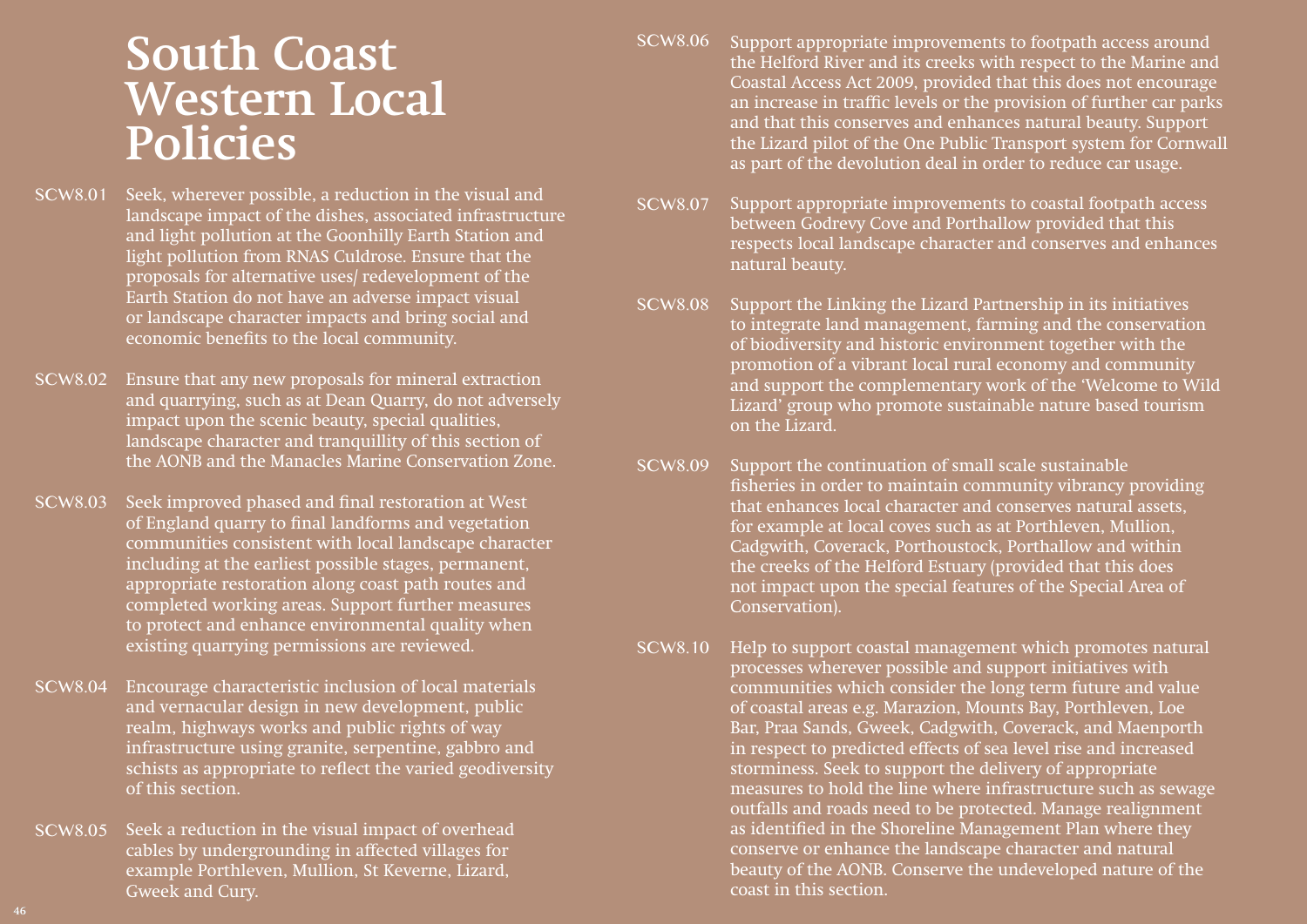# **South Coast Western Local Policies**

- Seek, wherever possible, a reduction in the visual and landscape impact of the dishes, associated infrastructure and light pollution at the Goonhilly Earth Station and light pollution from RNAS Culdrose. Ensure that the proposals for alternative uses/ redevelopment of the Earth Station do not have an adverse impact visual or landscape character impacts and bring social and economic benefits to the local community. SCW8.01
- Ensure that any new proposals for mineral extraction and quarrying, such as at Dean Quarry, do not adversely impact upon the scenic beauty, special qualities, landscape character and tranquillity of this section of the AONB and the Manacles Marine Conservation Zone. SCW8.02
- Seek improved phased and final restoration at West of England quarry to final landforms and vegetation communities consistent with local landscape character including at the earliest possible stages, permanent, appropriate restoration along coast path routes and completed working areas. Support further measures to protect and enhance environmental quality when existing quarrying permissions are reviewed. SCW8.03
- Encourage characteristic inclusion of local materials and vernacular design in new development, public realm, highways works and public rights of way infrastructure using granite, serpentine, gabbro and schists as appropriate to reflect the varied geodiversity of this section. SCW8.04
- Seek a reduction in the visual impact of overhead cables by undergrounding in affected villages for example Porthleven, Mullion, St Keverne, Lizard, Gweek and Cury. SCW8.05
- Support appropriate improvements to footpath access around the Helford River and its creeks with respect to the Marine and Coastal Access Act 2009, provided that this does not encourage an increase in traffic levels or the provision of further car parks and that this conserves and enhances natural beauty. Support the Lizard pilot of the One Public Transport system for Cornwall as part of the devolution deal in order to reduce car usage. SCW8.06
- Support appropriate improvements to coastal footpath access between Godrevy Cove and Porthallow provided that this respects local landscape character and conserves and enhances natural beauty. SCW8.07
- Support the Linking the Lizard Partnership in its initiatives to integrate land management, farming and the conservation of biodiversity and historic environment together with the promotion of a vibrant local rural economy and community and support the complementary work of the 'Welcome to Wild Lizard' group who promote sustainable nature based tourism on the Lizard. SCW8.08
- Support the continuation of small scale sustainable fisheries in order to maintain community vibrancy providing that enhances local character and conserves natural assets, for example at local coves such as at Porthleven, Mullion, Cadgwith, Coverack, Porthoustock, Porthallow and within the creeks of the Helford Estuary (provided that this does not impact upon the special features of the Special Area of Conservation). SCW8.09
- Help to support coastal management which promotes natural processes wherever possible and support initiatives with communities which consider the long term future and value of coastal areas e.g. Marazion, Mounts Bay, Porthleven, Loe Bar, Praa Sands, Gweek, Cadgwith, Coverack, and Maenporth in respect to predicted effects of sea level rise and increased storminess. Seek to support the delivery of appropriate measures to hold the line where infrastructure such as sewage outfalls and roads need to be protected. Manage realignment as identified in the Shoreline Management Plan where they conserve or enhance the landscape character and natural beauty of the AONB. Conserve the undeveloped nature of the coast in this section. SCW8.10